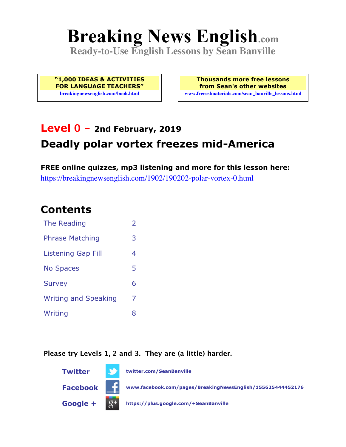# **Breaking News English.com**

**Ready-to-Use English Lessons by Sean Banville**

**"1,000 IDEAS & ACTIVITIES FOR LANGUAGE TEACHERS" breakingnewsenglish.com/book.html**

**Thousands more free lessons from Sean's other websites www.freeeslmaterials.com/sean\_banville\_lessons.html**

### **Level 0 - 2nd February, 2019 Deadly polar vortex freezes mid-America**

**FREE online quizzes, mp3 listening and more for this lesson here:** https://breakingnewsenglish.com/1902/190202-polar-vortex-0.html

### **Contents**

| The Reading                 | $\overline{2}$ |
|-----------------------------|----------------|
| <b>Phrase Matching</b>      | 3              |
| <b>Listening Gap Fill</b>   | 4              |
| <b>No Spaces</b>            | 5              |
| <b>Survey</b>               | 6              |
| <b>Writing and Speaking</b> | 7              |
| Writing                     | 8              |

#### **Please try Levels 1, 2 and 3. They are (a little) harder.**

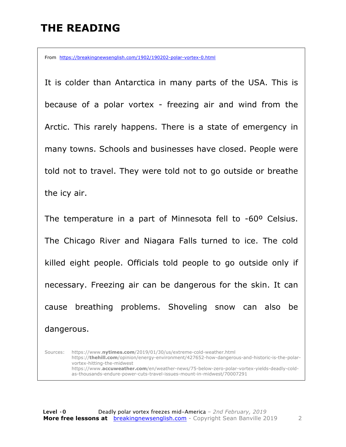### **THE READING**

From https://breakingnewsenglish.com/1902/190202-polar-vortex-0.html

It is colder than Antarctica in many parts of the USA. This is because of a polar vortex - freezing air and wind from the Arctic. This rarely happens. There is a state of emergency in many towns. Schools and businesses have closed. People were told not to travel. They were told not to go outside or breathe the icy air.

The temperature in a part of Minnesota fell to -60º Celsius. The Chicago River and Niagara Falls turned to ice. The cold killed eight people. Officials told people to go outside only if necessary. Freezing air can be dangerous for the skin. It can cause breathing problems. Shoveling snow can also be dangerous.

Sources: https://www.**nytimes.com**/2019/01/30/us/extreme-cold-weather.html https://**thehill.com**/opinion/energy-environment/427652-how-dangerous-and-historic-is-the-polarvortex-hitting-the-midwest https://www.**accuweather.com**/en/weather-news/75-below-zero-polar-vortex-yields-deadly-coldas-thousands-endure-power-cuts-travel-issues-mount-in-midwest/70007291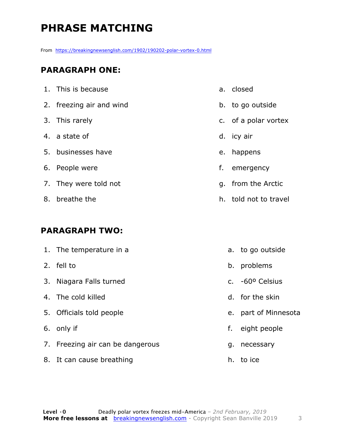### **PHRASE MATCHING**

From https://breakingnewsenglish.com/1902/190202-polar-vortex-0.html

#### **PARAGRAPH ONE:**

| 1. This is because       | a. closed             |
|--------------------------|-----------------------|
| 2. freezing air and wind | b. to go outside      |
| 3. This rarely           | c. of a polar vortex  |
| 4. a state of            | d. icy air            |
| 5. businesses have       | e. happens            |
| 6. People were           | f. emergency          |
| 7. They were told not    | g. from the Arctic    |
| 8. breathe the           | h. told not to travel |
|                          |                       |

#### **PARAGRAPH TWO:**

| 1. The temperature in a          |    | a. to go outside         |
|----------------------------------|----|--------------------------|
| 2. fell to                       |    | b. problems              |
| 3. Niagara Falls turned          |    | c. $-60^{\circ}$ Celsius |
| 4. The cold killed               |    | d. for the skin          |
| 5. Officials told people         |    | e. part of Minnesota     |
| 6. only if                       | f. | eight people             |
| 7. Freezing air can be dangerous | g. | necessary                |
| 8. It can cause breathing        | h. | to ice                   |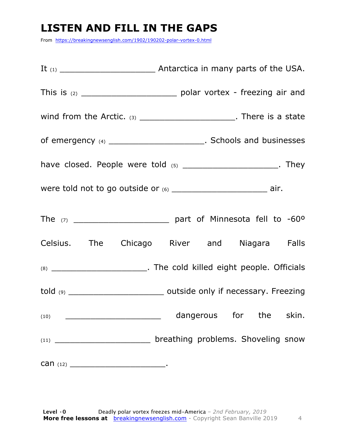### **LISTEN AND FILL IN THE GAPS**

From https://breakingnewsenglish.com/1902/190202-polar-vortex-0.html

|      | wind from the Arctic. $(3)$ _________________________. There is a state |
|------|-------------------------------------------------------------------------|
|      |                                                                         |
|      | have closed. People were told $(5)$ __________________________. They    |
|      |                                                                         |
|      |                                                                         |
|      | Celsius. The Chicago River and Niagara Falls                            |
|      |                                                                         |
|      |                                                                         |
| (10) | dangerous for the skin.                                                 |
|      | (11) ___________________________ breathing problems. Shoveling snow     |
|      |                                                                         |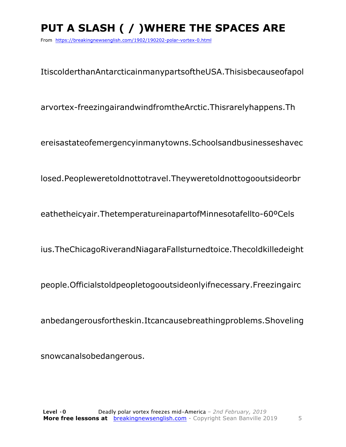## **PUT A SLASH ( / )WHERE THE SPACES ARE**

From https://breakingnewsenglish.com/1902/190202-polar-vortex-0.html

ItiscolderthanAntarcticainmanypartsoftheUSA.Thisisbecauseofapol

arvortex-freezingairandwindfromtheArctic.Thisrarelyhappens.Th

ereisastateofemergencyinmanytowns.Schoolsandbusinesseshavec

losed.Peopleweretoldnottotravel.Theyweretoldnottogooutsideorbr

eathetheicyair.ThetemperatureinapartofMinnesotafellto-60ºCels

ius.TheChicagoRiverandNiagaraFallsturnedtoice.Thecoldkilledeight

people.Officialstoldpeopletogooutsideonlyifnecessary.Freezingairc

anbedangerousfortheskin.Itcancausebreathingproblems.Shoveling

snowcanalsobedangerous.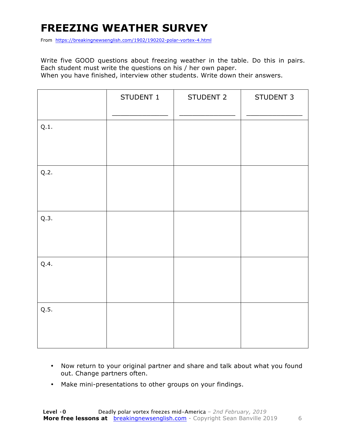### **FREEZING WEATHER SURVEY**

From https://breakingnewsenglish.com/1902/190202-polar-vortex-4.html

Write five GOOD questions about freezing weather in the table. Do this in pairs. Each student must write the questions on his / her own paper. When you have finished, interview other students. Write down their answers.

|      | STUDENT 1 | STUDENT 2 | STUDENT 3 |
|------|-----------|-----------|-----------|
| Q.1. |           |           |           |
| Q.2. |           |           |           |
| Q.3. |           |           |           |
| Q.4. |           |           |           |
| Q.5. |           |           |           |

- Now return to your original partner and share and talk about what you found out. Change partners often.
- Make mini-presentations to other groups on your findings.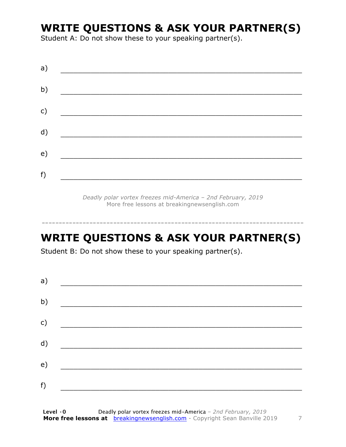### **WRITE QUESTIONS & ASK YOUR PARTNER(S)**

Student A: Do not show these to your speaking partner(s).

| a) |  |  |  |
|----|--|--|--|
| b) |  |  |  |
| c) |  |  |  |
| d) |  |  |  |
| e) |  |  |  |
| f) |  |  |  |

*Deadly polar vortex freezes mid-America – 2nd February, 2019* More free lessons at breakingnewsenglish.com

-----------------------------------------------------------------------------

### **WRITE QUESTIONS & ASK YOUR PARTNER(S)**

Student B: Do not show these to your speaking partner(s).

| a) |  |  |
|----|--|--|
| b) |  |  |
| c) |  |  |
| d) |  |  |
| e) |  |  |
| f) |  |  |
|    |  |  |